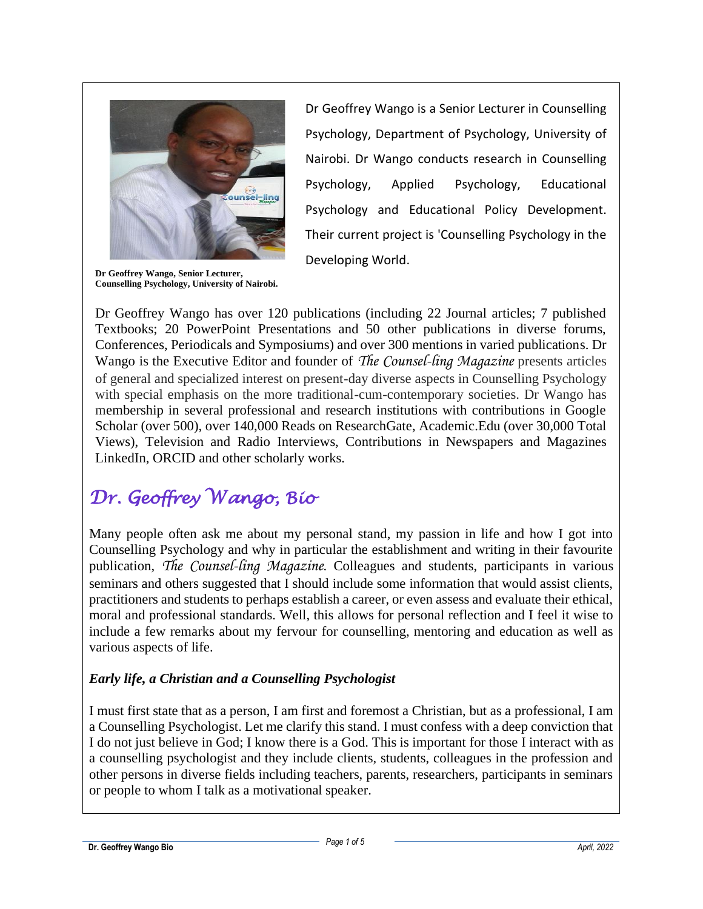

**Dr Geoffrey Wango, Senior Lecturer, Counselling Psychology, University of Nairobi.**

Dr Geoffrey Wango is a Senior Lecturer in Counselling Psychology, Department of Psychology, University of Nairobi. Dr Wango conducts research in Counselling Psychology, Applied Psychology, Educational Psychology and Educational Policy Development. Their current project is 'Counselling Psychology in the Developing World.

Dr Geoffrey Wango has over 120 publications (including 22 Journal articles; 7 published Textbooks; 20 PowerPoint Presentations and 50 other publications in diverse forums, Conferences, Periodicals and Symposiums) and over 300 mentions in varied publications. Dr Wango is the Executive Editor and founder of *The Counsel-ling Magazine* presents articles of general and specialized interest on present-day diverse aspects in Counselling Psychology with special emphasis on the more traditional-cum-contemporary societies. Dr Wango has membership in several professional and research institutions with contributions in Google Scholar (over 500), over 140,000 Reads on ResearchGate, Academic.Edu (over 30,000 Total Views), Television and Radio Interviews, Contributions in Newspapers and Magazines LinkedIn, ORCID and other scholarly works.

# *Dr. Geoffrey Wango, Bio*

Many people often ask me about my personal stand, my passion in life and how I got into Counselling Psychology and why in particular the establishment and writing in their favourite publication, *The Counsel-ling Magazine*. Colleagues and students, participants in various seminars and others suggested that I should include some information that would assist clients, practitioners and students to perhaps establish a career, or even assess and evaluate their ethical, moral and professional standards. Well, this allows for personal reflection and I feel it wise to include a few remarks about my fervour for counselling, mentoring and education as well as various aspects of life.

#### *Early life, a Christian and a Counselling Psychologist*

I must first state that as a person, I am first and foremost a Christian, but as a professional, I am a Counselling Psychologist. Let me clarify this stand. I must confess with a deep conviction that I do not just believe in God; I know there is a God. This is important for those I interact with as a counselling psychologist and they include clients, students, colleagues in the profession and other persons in diverse fields including teachers, parents, researchers, participants in seminars or people to whom I talk as a motivational speaker.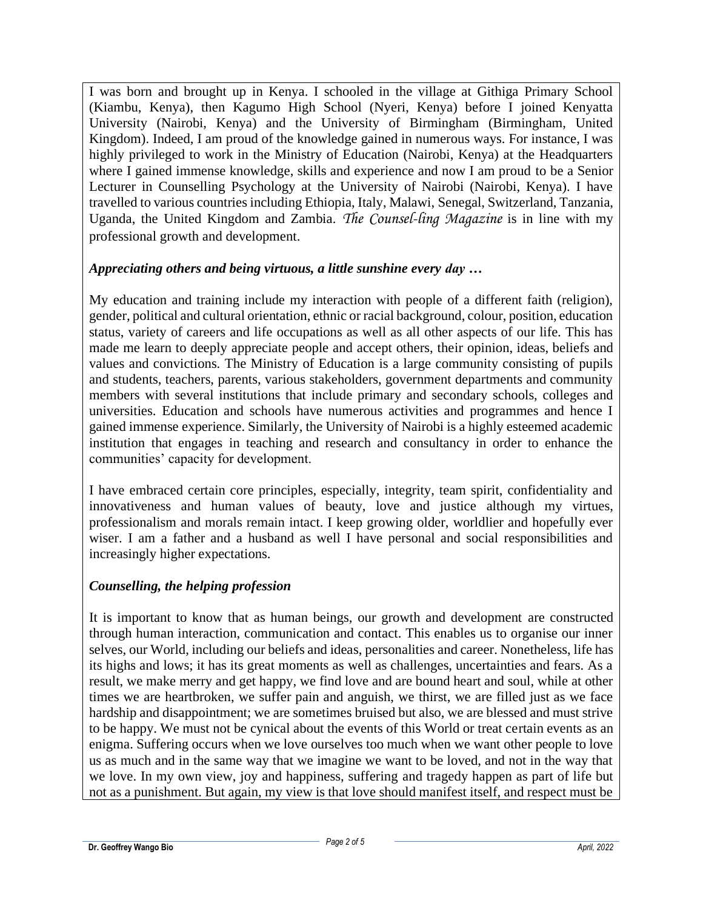I was born and brought up in Kenya. I schooled in the village at Githiga Primary School (Kiambu, Kenya), then Kagumo High School (Nyeri, Kenya) before I joined Kenyatta University (Nairobi, Kenya) and the University of Birmingham (Birmingham, United Kingdom). Indeed, I am proud of the knowledge gained in numerous ways. For instance, I was highly privileged to work in the Ministry of Education (Nairobi, Kenya) at the Headquarters where I gained immense knowledge, skills and experience and now I am proud to be a Senior Lecturer in Counselling Psychology at the University of Nairobi (Nairobi, Kenya). I have travelled to various countries including Ethiopia, Italy, Malawi, Senegal, Switzerland, Tanzania, Uganda, the United Kingdom and Zambia. *The Counsel-ling Magazine* is in line with my professional growth and development.

#### *Appreciating others and being virtuous, a little sunshine every day …*

My education and training include my interaction with people of a different faith (religion), gender, political and cultural orientation, ethnic or racial background, colour, position, education status, variety of careers and life occupations as well as all other aspects of our life. This has made me learn to deeply appreciate people and accept others, their opinion, ideas, beliefs and values and convictions. The Ministry of Education is a large community consisting of pupils and students, teachers, parents, various stakeholders, government departments and community members with several institutions that include primary and secondary schools, colleges and universities. Education and schools have numerous activities and programmes and hence I gained immense experience. Similarly, the University of Nairobi is a highly esteemed academic institution that engages in teaching and research and consultancy in order to enhance the communities' capacity for development.

I have embraced certain core principles, especially, integrity, team spirit, confidentiality and innovativeness and human values of beauty, love and justice although my virtues, professionalism and morals remain intact. I keep growing older, worldlier and hopefully ever wiser. I am a father and a husband as well I have personal and social responsibilities and increasingly higher expectations.

#### *Counselling, the helping profession*

It is important to know that as human beings, our growth and development are constructed through human interaction, communication and contact. This enables us to organise our inner selves, our World, including our beliefs and ideas, personalities and career. Nonetheless, life has its highs and lows; it has its great moments as well as challenges, uncertainties and fears. As a result, we make merry and get happy, we find love and are bound heart and soul, while at other times we are heartbroken, we suffer pain and anguish, we thirst, we are filled just as we face hardship and disappointment; we are sometimes bruised but also, we are blessed and must strive to be happy. We must not be cynical about the events of this World or treat certain events as an enigma. Suffering occurs when we love ourselves too much when we want other people to love us as much and in the same way that we imagine we want to be loved, and not in the way that we love. In my own view, joy and happiness, suffering and tragedy happen as part of life but not as a punishment. But again, my view is that love should manifest itself, and respect must be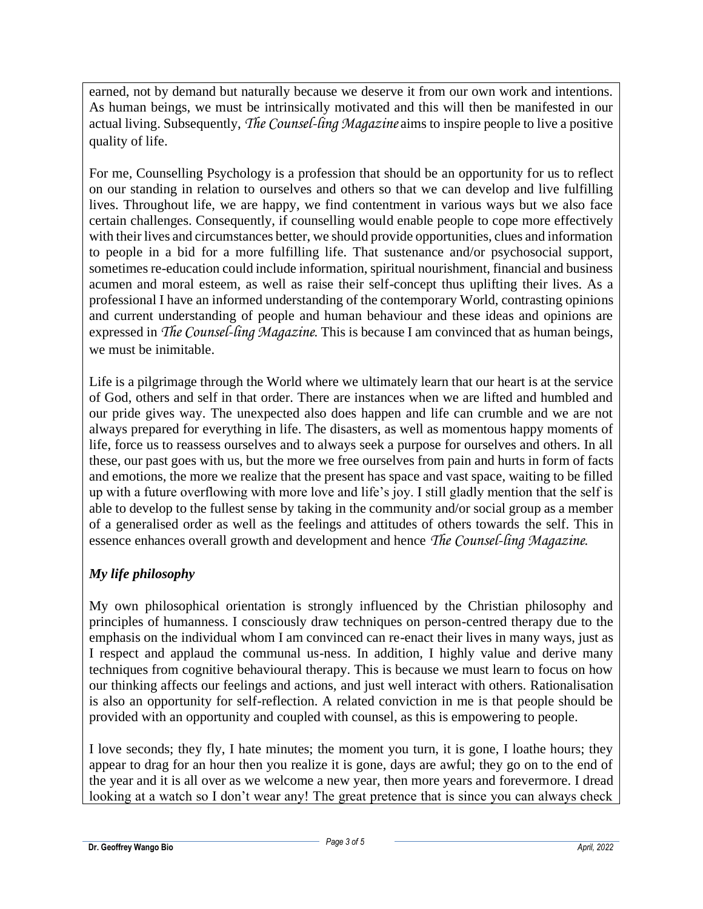earned, not by demand but naturally because we deserve it from our own work and intentions. As human beings, we must be intrinsically motivated and this will then be manifested in our actual living. Subsequently, *The Counsel-ling Magazine* aims to inspire people to live a positive quality of life.

For me, Counselling Psychology is a profession that should be an opportunity for us to reflect on our standing in relation to ourselves and others so that we can develop and live fulfilling lives. Throughout life, we are happy, we find contentment in various ways but we also face certain challenges. Consequently, if counselling would enable people to cope more effectively with their lives and circumstances better, we should provide opportunities, clues and information to people in a bid for a more fulfilling life. That sustenance and/or psychosocial support, sometimes re-education could include information, spiritual nourishment, financial and business acumen and moral esteem, as well as raise their self-concept thus uplifting their lives. As a professional I have an informed understanding of the contemporary World, contrasting opinions and current understanding of people and human behaviour and these ideas and opinions are expressed in *The Counsel-ling Magazine*. This is because I am convinced that as human beings, we must be inimitable.

Life is a pilgrimage through the World where we ultimately learn that our heart is at the service of God, others and self in that order. There are instances when we are lifted and humbled and our pride gives way. The unexpected also does happen and life can crumble and we are not always prepared for everything in life. The disasters, as well as momentous happy moments of life, force us to reassess ourselves and to always seek a purpose for ourselves and others. In all these, our past goes with us, but the more we free ourselves from pain and hurts in form of facts and emotions, the more we realize that the present has space and vast space, waiting to be filled up with a future overflowing with more love and life's joy. I still gladly mention that the self is able to develop to the fullest sense by taking in the community and/or social group as a member of a generalised order as well as the feelings and attitudes of others towards the self. This in essence enhances overall growth and development and hence *The Counsel-ling Magazine*.

## *My life philosophy*

My own philosophical orientation is strongly influenced by the Christian philosophy and principles of humanness. I consciously draw techniques on person-centred therapy due to the emphasis on the individual whom I am convinced can re-enact their lives in many ways, just as I respect and applaud the communal us-ness. In addition, I highly value and derive many techniques from cognitive behavioural therapy. This is because we must learn to focus on how our thinking affects our feelings and actions, and just well interact with others. Rationalisation is also an opportunity for self-reflection. A related conviction in me is that people should be provided with an opportunity and coupled with counsel, as this is empowering to people.

I love seconds; they fly, I hate minutes; the moment you turn, it is gone, I loathe hours; they appear to drag for an hour then you realize it is gone, days are awful; they go on to the end of the year and it is all over as we welcome a new year, then more years and forevermore. I dread looking at a watch so I don't wear any! The great pretence that is since you can always check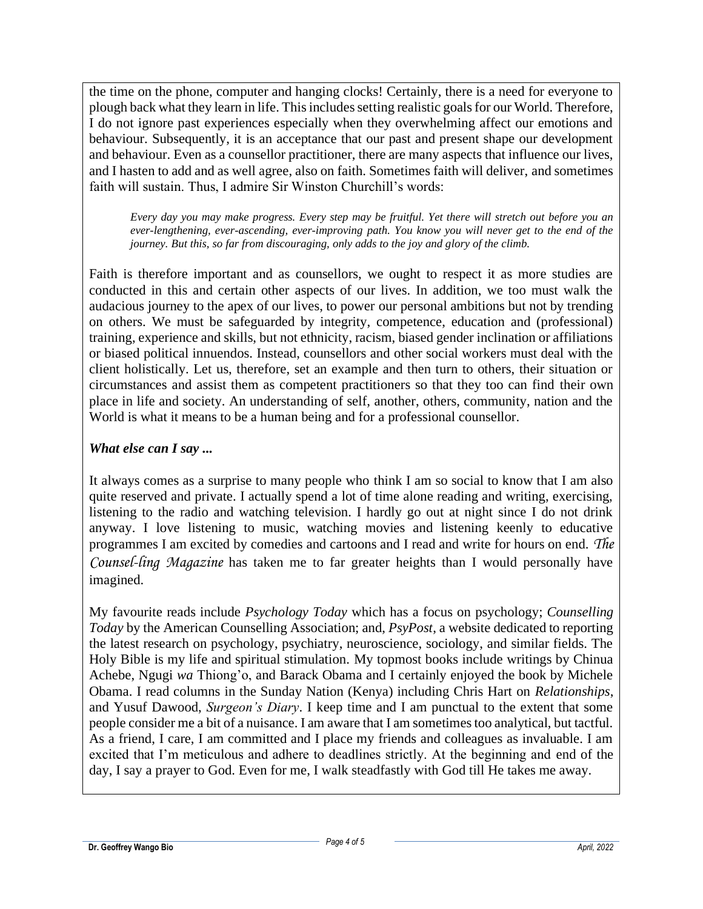the time on the phone, computer and hanging clocks! Certainly, there is a need for everyone to plough back what they learn in life. This includes setting realistic goals for our World. Therefore, I do not ignore past experiences especially when they overwhelming affect our emotions and behaviour. Subsequently, it is an acceptance that our past and present shape our development and behaviour. Even as a counsellor practitioner, there are many aspects that influence our lives, and I hasten to add and as well agree, also on faith. Sometimes faith will deliver, and sometimes faith will sustain. Thus, I admire Sir Winston Churchill's words:

*Every day you may make progress. Every step may be fruitful. Yet there will stretch out before you an ever-lengthening, ever-ascending, ever-improving path. You know you will never get to the end of the journey. But this, so far from discouraging, only adds to the joy and glory of the climb.*

Faith is therefore important and as counsellors, we ought to respect it as more studies are conducted in this and certain other aspects of our lives. In addition, we too must walk the audacious journey to the apex of our lives, to power our personal ambitions but not by trending on others. We must be safeguarded by integrity, competence, education and (professional) training, experience and skills, but not ethnicity, racism, biased gender inclination or affiliations or biased political innuendos. Instead, counsellors and other social workers must deal with the client holistically. Let us, therefore, set an example and then turn to others, their situation or circumstances and assist them as competent practitioners so that they too can find their own place in life and society. An understanding of self, another, others, community, nation and the World is what it means to be a human being and for a professional counsellor.

### *What else can I say ...*

It always comes as a surprise to many people who think I am so social to know that I am also quite reserved and private. I actually spend a lot of time alone reading and writing, exercising, listening to the radio and watching television. I hardly go out at night since I do not drink anyway. I love listening to music, watching movies and listening keenly to educative programmes I am excited by comedies and cartoons and I read and write for hours on end. *The Counsel-ling Magazine* has taken me to far greater heights than I would personally have imagined.

My favourite reads include *Psychology Today* which has a focus on psychology; *Counselling Today* by the American Counselling Association; and, *PsyPost*, a website dedicated to reporting the latest research on psychology, psychiatry, neuroscience, sociology, and similar fields. The Holy Bible is my life and spiritual stimulation. My topmost books include writings by Chinua Achebe, Ngugi *wa* Thiong'o, and Barack Obama and I certainly enjoyed the book by Michele Obama. I read columns in the Sunday Nation (Kenya) including Chris Hart on *Relationships*, and Yusuf Dawood, *Surgeon's Diary*. I keep time and I am punctual to the extent that some people consider me a bit of a nuisance. I am aware that I am sometimes too analytical, but tactful. As a friend, I care, I am committed and I place my friends and colleagues as invaluable. I am excited that I'm meticulous and adhere to deadlines strictly. At the beginning and end of the day, I say a prayer to God. Even for me, I walk steadfastly with God till He takes me away.